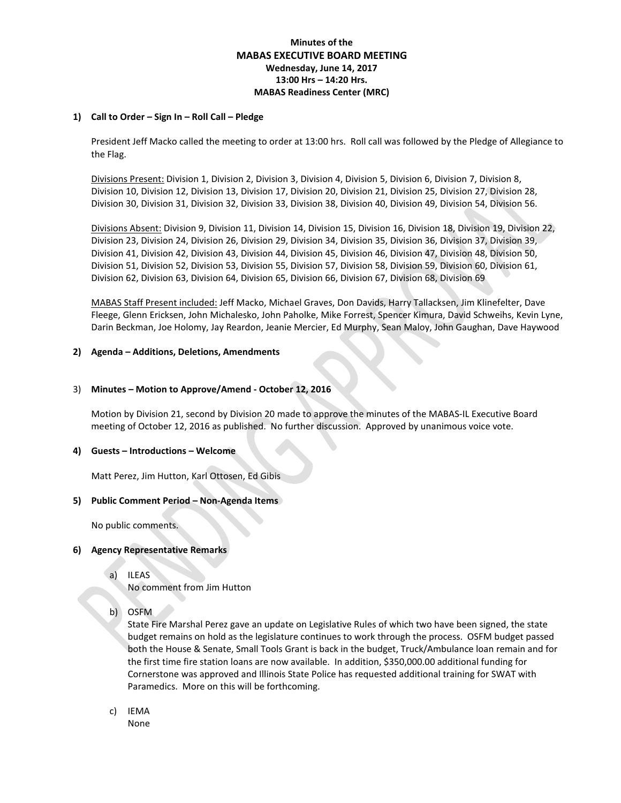# **Minutes of the MABAS EXECUTIVE BOARD MEETING Wednesday, June 14, 2017 13:00 Hrs – 14:20 Hrs. MABAS Readiness Center (MRC)**

### **1) Call to Order – Sign In – Roll Call – Pledge**

President Jeff Macko called the meeting to order at 13:00 hrs. Roll call was followed by the Pledge of Allegiance to the Flag.

Divisions Present: Division 1, Division 2, Division 3, Division 4, Division 5, Division 6, Division 7, Division 8, Division 10, Division 12, Division 13, Division 17, Division 20, Division 21, Division 25, Division 27, Division 28, Division 30, Division 31, Division 32, Division 33, Division 38, Division 40, Division 49, Division 54, Division 56.

Divisions Absent: Division 9, Division 11, Division 14, Division 15, Division 16, Division 18, Division 19, Division 22, Division 23, Division 24, Division 26, Division 29, Division 34, Division 35, Division 36, Division 37, Division 39, Division 41, Division 42, Division 43, Division 44, Division 45, Division 46, Division 47, Division 48, Division 50, Division 51, Division 52, Division 53, Division 55, Division 57, Division 58, Division 59, Division 60, Division 61, Division 62, Division 63, Division 64, Division 65, Division 66, Division 67, Division 68, Division 69

MABAS Staff Present included: Jeff Macko, Michael Graves, Don Davids, Harry Tallacksen, Jim Klinefelter, Dave Fleege, Glenn Ericksen, John Michalesko, John Paholke, Mike Forrest, Spencer Kimura, David Schweihs, Kevin Lyne, Darin Beckman, Joe Holomy, Jay Reardon, Jeanie Mercier, Ed Murphy, Sean Maloy, John Gaughan, Dave Haywood

## **2) Agenda – Additions, Deletions, Amendments**

## 3) **Minutes – Motion to Approve/Amend - October 12, 2016**

Motion by Division 21, second by Division 20 made to approve the minutes of the MABAS-IL Executive Board meeting of October 12, 2016 as published. No further discussion. Approved by unanimous voice vote.

### **4) Guests – Introductions – Welcome**

Matt Perez, Jim Hutton, Karl Ottosen, Ed Gibis

### **5) Public Comment Period – Non-Agenda Items**

No public comments.

### **6) Agency Representative Remarks**

a) ILEAS

No comment from Jim Hutton

b) OSFM

State Fire Marshal Perez gave an update on Legislative Rules of which two have been signed, the state budget remains on hold as the legislature continues to work through the process. OSFM budget passed both the House & Senate, Small Tools Grant is back in the budget, Truck/Ambulance loan remain and for the first time fire station loans are now available. In addition, \$350,000.00 additional funding for Cornerstone was approved and Illinois State Police has requested additional training for SWAT with Paramedics. More on this will be forthcoming.

c) IEMA None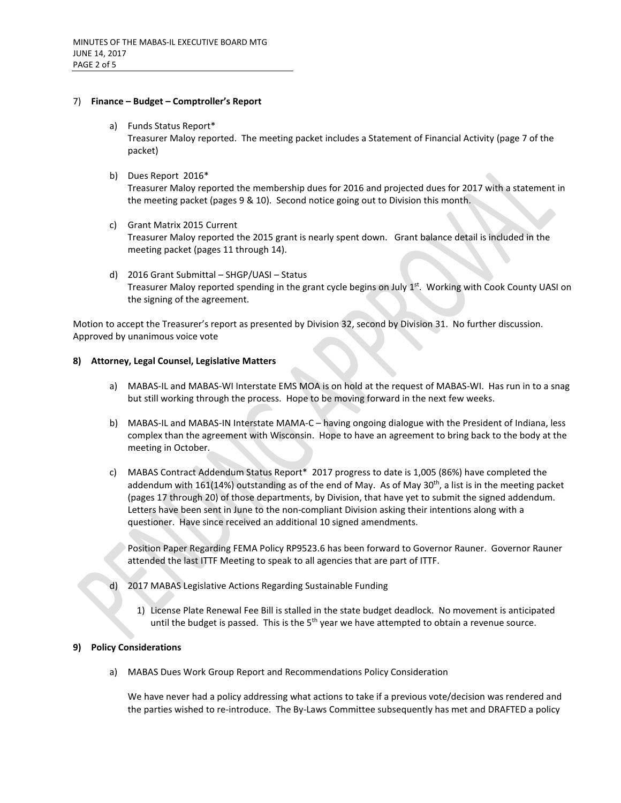#### 7) **Finance – Budget – Comptroller's Report**

a) Funds Status Report\*

Treasurer Maloy reported. The meeting packet includes a Statement of Financial Activity (page 7 of the packet)

b) Dues Report 2016\*

Treasurer Maloy reported the membership dues for 2016 and projected dues for 2017 with a statement in the meeting packet (pages 9 & 10). Second notice going out to Division this month.

- c) Grant Matrix 2015 Current Treasurer Maloy reported the 2015 grant is nearly spent down. Grant balance detail is included in the meeting packet (pages 11 through 14).
- d) 2016 Grant Submittal SHGP/UASI Status Treasurer Maloy reported spending in the grant cycle begins on July 1st. Working with Cook County UASI on the signing of the agreement.

Motion to accept the Treasurer's report as presented by Division 32, second by Division 31. No further discussion. Approved by unanimous voice vote

#### **8) Attorney, Legal Counsel, Legislative Matters**

- a) MABAS-IL and MABAS-WI Interstate EMS MOA is on hold at the request of MABAS-WI. Has run in to a snag but still working through the process. Hope to be moving forward in the next few weeks.
- b) MABAS-IL and MABAS-IN Interstate MAMA-C having ongoing dialogue with the President of Indiana, less complex than the agreement with Wisconsin. Hope to have an agreement to bring back to the body at the meeting in October.
- c) MABAS Contract Addendum Status Report\* 2017 progress to date is 1,005 (86%) have completed the addendum with 161(14%) outstanding as of the end of May. As of May 30<sup>th</sup>, a list is in the meeting packet (pages 17 through 20) of those departments, by Division, that have yet to submit the signed addendum. Letters have been sent in June to the non-compliant Division asking their intentions along with a questioner. Have since received an additional 10 signed amendments.

Position Paper Regarding FEMA Policy RP9523.6 has been forward to Governor Rauner. Governor Rauner attended the last ITTF Meeting to speak to all agencies that are part of ITTF.

- 2017 MABAS Legislative Actions Regarding Sustainable Funding
	- 1) License Plate Renewal Fee Bill is stalled in the state budget deadlock. No movement is anticipated until the budget is passed. This is the  $5<sup>th</sup>$  year we have attempted to obtain a revenue source.

#### **9) Policy Considerations**

a) MABAS Dues Work Group Report and Recommendations Policy Consideration

We have never had a policy addressing what actions to take if a previous vote/decision was rendered and the parties wished to re-introduce. The By-Laws Committee subsequently has met and DRAFTED a policy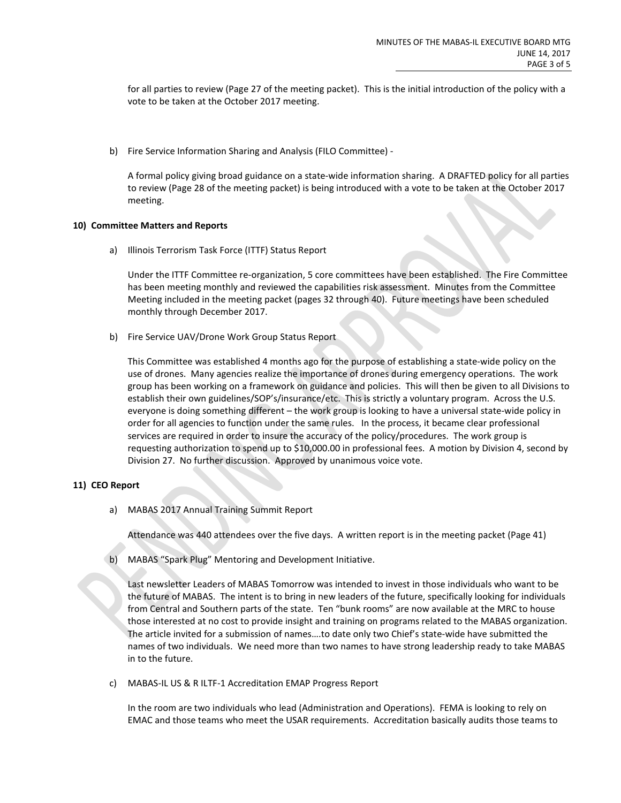for all parties to review (Page 27 of the meeting packet). This is the initial introduction of the policy with a vote to be taken at the October 2017 meeting.

b) Fire Service Information Sharing and Analysis (FILO Committee) -

A formal policy giving broad guidance on a state-wide information sharing. A DRAFTED policy for all parties to review (Page 28 of the meeting packet) is being introduced with a vote to be taken at the October 2017 meeting.

### **10) Committee Matters and Reports**

a) Illinois Terrorism Task Force (ITTF) Status Report

Under the ITTF Committee re-organization, 5 core committees have been established. The Fire Committee has been meeting monthly and reviewed the capabilities risk assessment. Minutes from the Committee Meeting included in the meeting packet (pages 32 through 40). Future meetings have been scheduled monthly through December 2017.

b) Fire Service UAV/Drone Work Group Status Report

This Committee was established 4 months ago for the purpose of establishing a state-wide policy on the use of drones. Many agencies realize the importance of drones during emergency operations. The work group has been working on a framework on guidance and policies. This will then be given to all Divisions to establish their own guidelines/SOP's/insurance/etc. This is strictly a voluntary program. Across the U.S. everyone is doing something different – the work group is looking to have a universal state-wide policy in order for all agencies to function under the same rules. In the process, it became clear professional services are required in order to insure the accuracy of the policy/procedures. The work group is requesting authorization to spend up to \$10,000.00 in professional fees. A motion by Division 4, second by Division 27. No further discussion. Approved by unanimous voice vote.

# **11) CEO Report**

a) MABAS 2017 Annual Training Summit Report

Attendance was 440 attendees over the five days. A written report is in the meeting packet (Page 41)

b) MABAS "Spark Plug" Mentoring and Development Initiative.

Last newsletter Leaders of MABAS Tomorrow was intended to invest in those individuals who want to be the future of MABAS. The intent is to bring in new leaders of the future, specifically looking for individuals from Central and Southern parts of the state. Ten "bunk rooms" are now available at the MRC to house those interested at no cost to provide insight and training on programs related to the MABAS organization. The article invited for a submission of names….to date only two Chief's state-wide have submitted the names of two individuals. We need more than two names to have strong leadership ready to take MABAS in to the future.

c) MABAS-IL US & R ILTF-1 Accreditation EMAP Progress Report

In the room are two individuals who lead (Administration and Operations). FEMA is looking to rely on EMAC and those teams who meet the USAR requirements. Accreditation basically audits those teams to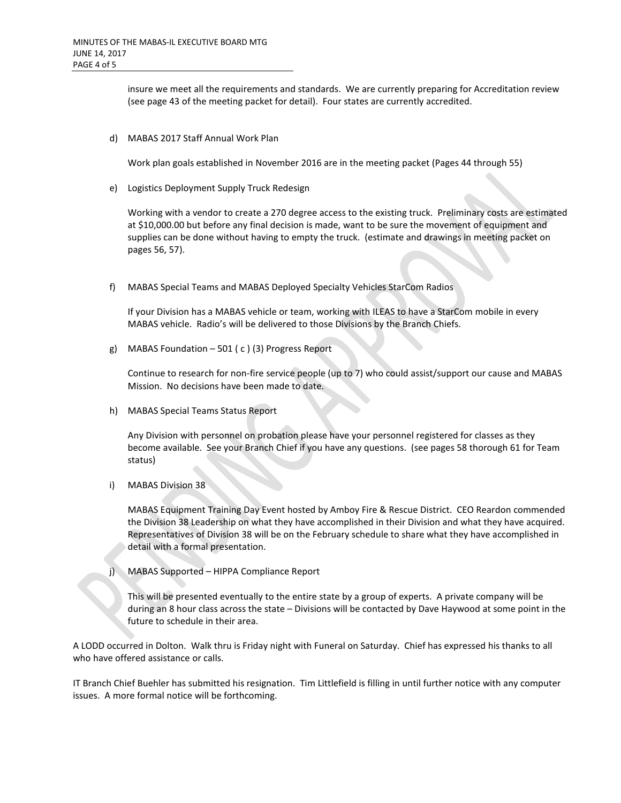insure we meet all the requirements and standards. We are currently preparing for Accreditation review (see page 43 of the meeting packet for detail). Four states are currently accredited.

d) MABAS 2017 Staff Annual Work Plan

Work plan goals established in November 2016 are in the meeting packet (Pages 44 through 55)

e) Logistics Deployment Supply Truck Redesign

Working with a vendor to create a 270 degree access to the existing truck. Preliminary costs are estimated at \$10,000.00 but before any final decision is made, want to be sure the movement of equipment and supplies can be done without having to empty the truck. (estimate and drawings in meeting packet on pages 56, 57).

f) MABAS Special Teams and MABAS Deployed Specialty Vehicles StarCom Radios

If your Division has a MABAS vehicle or team, working with ILEAS to have a StarCom mobile in every MABAS vehicle. Radio's will be delivered to those Divisions by the Branch Chiefs.

g) MABAS Foundation – 501 ( c ) (3) Progress Report

Continue to research for non-fire service people (up to 7) who could assist/support our cause and MABAS Mission. No decisions have been made to date.

h) MABAS Special Teams Status Report

Any Division with personnel on probation please have your personnel registered for classes as they become available. See your Branch Chief if you have any questions. (see pages 58 thorough 61 for Team status)

i) MABAS Division 38

MABAS Equipment Training Day Event hosted by Amboy Fire & Rescue District. CEO Reardon commended the Division 38 Leadership on what they have accomplished in their Division and what they have acquired. Representatives of Division 38 will be on the February schedule to share what they have accomplished in detail with a formal presentation.

j) MABAS Supported – HIPPA Compliance Report

This will be presented eventually to the entire state by a group of experts. A private company will be during an 8 hour class across the state – Divisions will be contacted by Dave Haywood at some point in the future to schedule in their area.

A LODD occurred in Dolton. Walk thru is Friday night with Funeral on Saturday. Chief has expressed his thanks to all who have offered assistance or calls.

IT Branch Chief Buehler has submitted his resignation. Tim Littlefield is filling in until further notice with any computer issues. A more formal notice will be forthcoming.